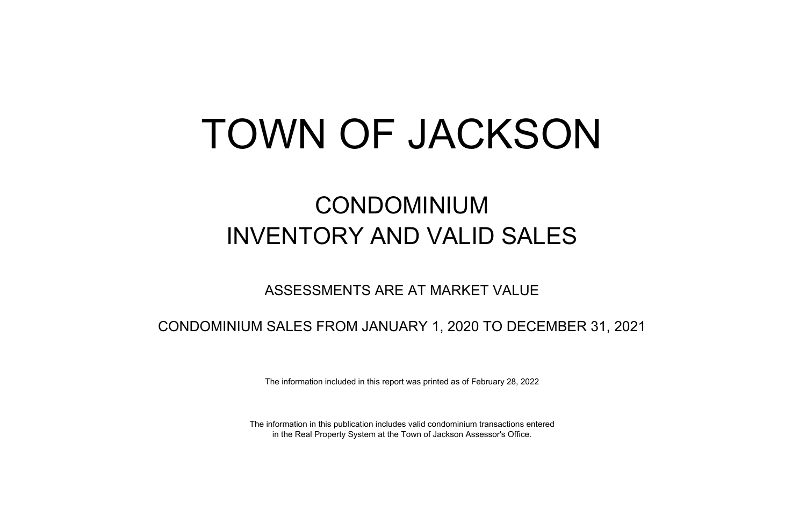## TOWN OF JACKSON

## CONDOMINIUM INVENTORY AND VALID SALES

## ASSESSMENTS ARE AT MARKET VALUE

CONDOMINIUM SALES FROM JANUARY 1, 2020 TO DECEMBER 31, 2021

The information included in this report was printed as of February 28, 2022

The information in this publication includes valid condominium transactions entered in the Real Property System at the Town of Jackson Assessor's Office.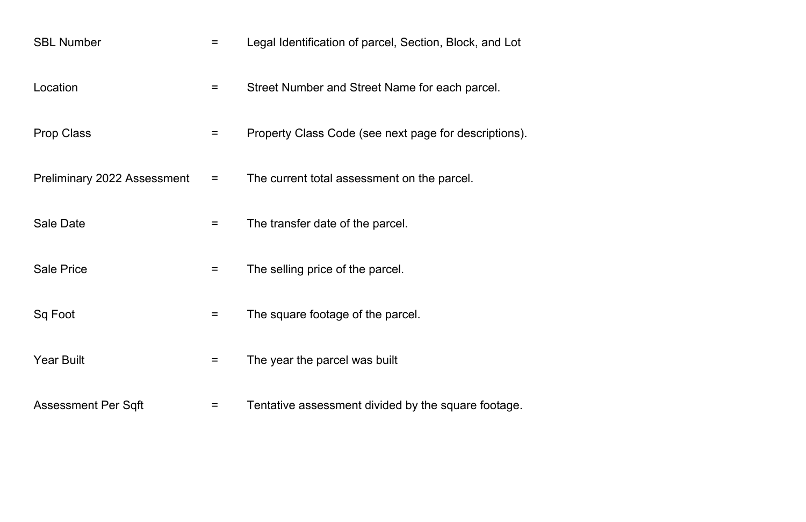| <b>SBL Number</b>                  | $=$ | Legal Identification of parcel, Section, Block, and Lot |
|------------------------------------|-----|---------------------------------------------------------|
| Location                           | $=$ | Street Number and Street Name for each parcel.          |
| <b>Prop Class</b>                  | $=$ | Property Class Code (see next page for descriptions).   |
| <b>Preliminary 2022 Assessment</b> | $=$ | The current total assessment on the parcel.             |
| Sale Date                          | =   | The transfer date of the parcel.                        |
| <b>Sale Price</b>                  | $=$ | The selling price of the parcel.                        |
| Sq Foot                            |     | The square footage of the parcel.                       |
| <b>Year Built</b>                  | $=$ | The year the parcel was built                           |
| <b>Assessment Per Sqft</b>         |     | Tentative assessment divided by the square footage.     |